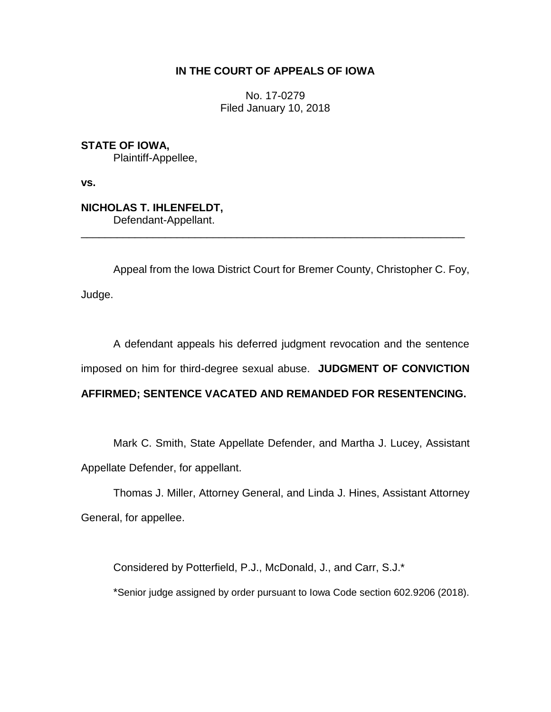## **IN THE COURT OF APPEALS OF IOWA**

No. 17-0279 Filed January 10, 2018

**STATE OF IOWA,** Plaintiff-Appellee,

**vs.**

**NICHOLAS T. IHLENFELDT,** Defendant-Appellant.

Appeal from the Iowa District Court for Bremer County, Christopher C. Foy, Judge.

\_\_\_\_\_\_\_\_\_\_\_\_\_\_\_\_\_\_\_\_\_\_\_\_\_\_\_\_\_\_\_\_\_\_\_\_\_\_\_\_\_\_\_\_\_\_\_\_\_\_\_\_\_\_\_\_\_\_\_\_\_\_\_\_

A defendant appeals his deferred judgment revocation and the sentence imposed on him for third-degree sexual abuse. **JUDGMENT OF CONVICTION** 

# **AFFIRMED; SENTENCE VACATED AND REMANDED FOR RESENTENCING.**

Mark C. Smith, State Appellate Defender, and Martha J. Lucey, Assistant Appellate Defender, for appellant.

Thomas J. Miller, Attorney General, and Linda J. Hines, Assistant Attorney General, for appellee.

Considered by Potterfield, P.J., McDonald, J., and Carr, S.J.\* \*Senior judge assigned by order pursuant to Iowa Code section 602.9206 (2018).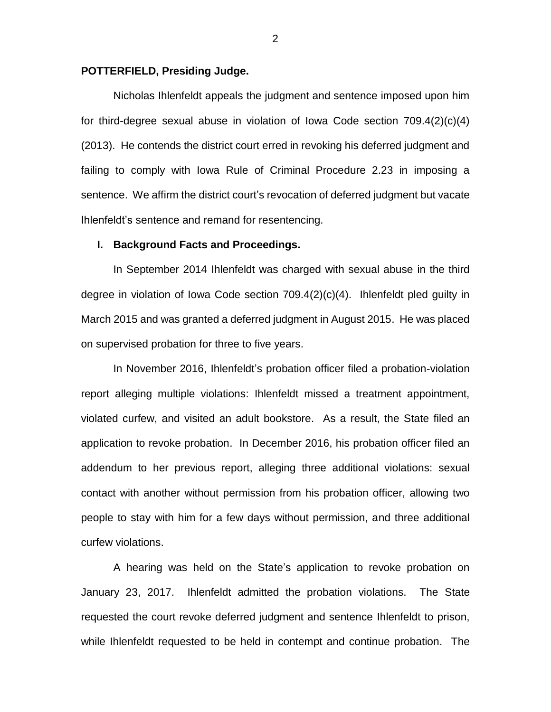## **POTTERFIELD, Presiding Judge.**

Nicholas Ihlenfeldt appeals the judgment and sentence imposed upon him for third-degree sexual abuse in violation of Iowa Code section 709.4(2)(c)(4) (2013). He contends the district court erred in revoking his deferred judgment and failing to comply with Iowa Rule of Criminal Procedure 2.23 in imposing a sentence. We affirm the district court's revocation of deferred judgment but vacate Ihlenfeldt's sentence and remand for resentencing.

#### **I. Background Facts and Proceedings.**

In September 2014 Ihlenfeldt was charged with sexual abuse in the third degree in violation of Iowa Code section 709.4(2)(c)(4). Ihlenfeldt pled guilty in March 2015 and was granted a deferred judgment in August 2015. He was placed on supervised probation for three to five years.

In November 2016, Ihlenfeldt's probation officer filed a probation-violation report alleging multiple violations: Ihlenfeldt missed a treatment appointment, violated curfew, and visited an adult bookstore. As a result, the State filed an application to revoke probation. In December 2016, his probation officer filed an addendum to her previous report, alleging three additional violations: sexual contact with another without permission from his probation officer, allowing two people to stay with him for a few days without permission, and three additional curfew violations.

A hearing was held on the State's application to revoke probation on January 23, 2017. Ihlenfeldt admitted the probation violations. The State requested the court revoke deferred judgment and sentence Ihlenfeldt to prison, while Ihlenfeldt requested to be held in contempt and continue probation. The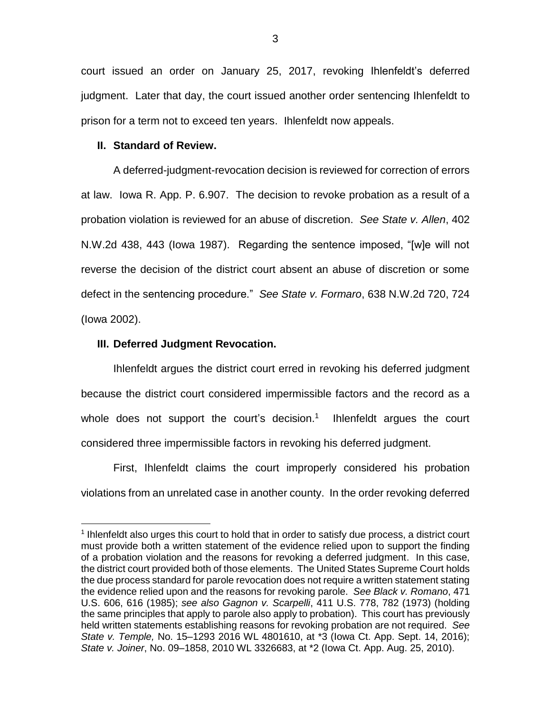court issued an order on January 25, 2017, revoking Ihlenfeldt's deferred judgment. Later that day, the court issued another order sentencing Ihlenfeldt to prison for a term not to exceed ten years. Ihlenfeldt now appeals.

## **II. Standard of Review.**

A deferred-judgment-revocation decision is reviewed for correction of errors at law. Iowa R. App. P. 6.907. The decision to revoke probation as a result of a probation violation is reviewed for an abuse of discretion. *See State v. Allen*, 402 N.W.2d 438, 443 (Iowa 1987). Regarding the sentence imposed, "[w]e will not reverse the decision of the district court absent an abuse of discretion or some defect in the sentencing procedure." *See State v. Formaro*, 638 N.W.2d 720, 724 (Iowa 2002).

## **III. Deferred Judgment Revocation.**

 $\overline{a}$ 

Ihlenfeldt argues the district court erred in revoking his deferred judgment because the district court considered impermissible factors and the record as a whole does not support the court's decision.<sup>1</sup> Ihlenfeldt argues the court considered three impermissible factors in revoking his deferred judgment.

First, Ihlenfeldt claims the court improperly considered his probation violations from an unrelated case in another county. In the order revoking deferred

<sup>&</sup>lt;sup>1</sup> Ihlenfeldt also urges this court to hold that in order to satisfy due process, a district court must provide both a written statement of the evidence relied upon to support the finding of a probation violation and the reasons for revoking a deferred judgment. In this case, the district court provided both of those elements. The United States Supreme Court holds the due process standard for parole revocation does not require a written statement stating the evidence relied upon and the reasons for revoking parole. *See Black v. Romano*, 471 U.S. 606, 616 (1985); *see also Gagnon v. Scarpelli*, 411 U.S. 778, 782 (1973) (holding the same principles that apply to parole also apply to probation). This court has previously held written statements establishing reasons for revoking probation are not required. *See State v. Temple,* No. 15–1293 2016 WL 4801610, at \*3 (Iowa Ct. App. Sept. 14, 2016); *State v. Joiner*, No. 09–1858, 2010 WL 3326683, at \*2 (Iowa Ct. App. Aug. 25, 2010).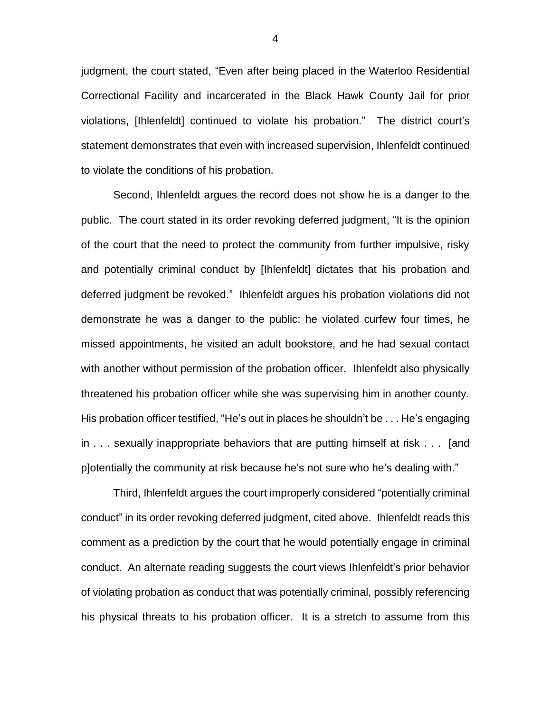judgment, the court stated, "Even after being placed in the Waterloo Residential Correctional Facility and incarcerated in the Black Hawk County Jail for prior violations, [Ihlenfeldt] continued to violate his probation." The district court's statement demonstrates that even with increased supervision, Ihlenfeldt continued to violate the conditions of his probation.

Second, Ihlenfeldt argues the record does not show he is a danger to the public. The court stated in its order revoking deferred judgment, "It is the opinion of the court that the need to protect the community from further impulsive, risky and potentially criminal conduct by [Ihlenfeldt] dictates that his probation and deferred judgment be revoked." Ihlenfeldt argues his probation violations did not demonstrate he was a danger to the public: he violated curfew four times, he missed appointments, he visited an adult bookstore, and he had sexual contact with another without permission of the probation officer. Ihlenfeldt also physically threatened his probation officer while she was supervising him in another county. His probation officer testified, "He's out in places he shouldn't be . . . He's engaging in . . . sexually inappropriate behaviors that are putting himself at risk . . . [and p]otentially the community at risk because he's not sure who he's dealing with."

Third, Ihlenfeldt argues the court improperly considered "potentially criminal conduct" in its order revoking deferred judgment, cited above. Ihlenfeldt reads this comment as a prediction by the court that he would potentially engage in criminal conduct. An alternate reading suggests the court views Ihlenfeldt's prior behavior of violating probation as conduct that was potentially criminal, possibly referencing his physical threats to his probation officer. It is a stretch to assume from this

4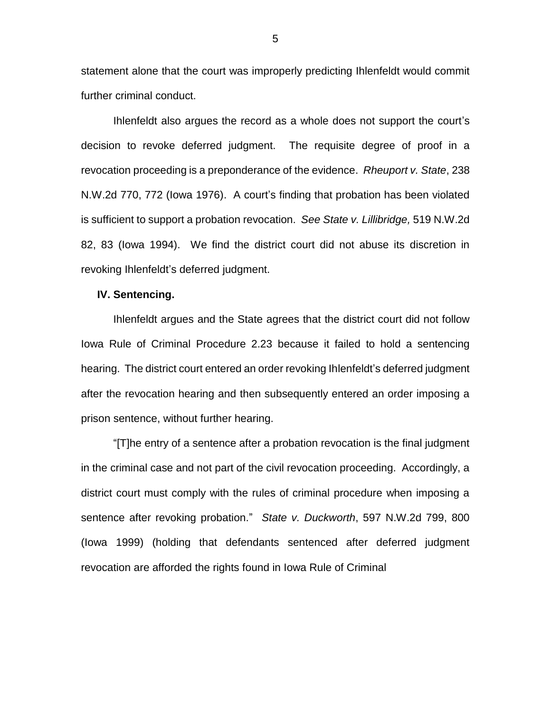statement alone that the court was improperly predicting Ihlenfeldt would commit further criminal conduct.

Ihlenfeldt also argues the record as a whole does not support the court's decision to revoke deferred judgment. The requisite degree of proof in a revocation proceeding is a preponderance of the evidence. *Rheuport v. State*, 238 N.W.2d 770, 772 (Iowa 1976). A court's finding that probation has been violated is sufficient to support a probation revocation. *See State v. Lillibridge,* 519 N.W.2d 82, 83 (Iowa 1994). We find the district court did not abuse its discretion in revoking Ihlenfeldt's deferred judgment.

#### **IV. Sentencing.**

Ihlenfeldt argues and the State agrees that the district court did not follow Iowa Rule of Criminal Procedure 2.23 because it failed to hold a sentencing hearing. The district court entered an order revoking Ihlenfeldt's deferred judgment after the revocation hearing and then subsequently entered an order imposing a prison sentence, without further hearing.

"[T]he entry of a sentence after a probation revocation is the final judgment in the criminal case and not part of the civil revocation proceeding. Accordingly, a district court must comply with the rules of criminal procedure when imposing a sentence after revoking probation." *State v. Duckworth*, 597 N.W.2d 799, 800 (Iowa 1999) (holding that defendants sentenced after deferred judgment revocation are afforded the rights found in Iowa Rule of Criminal

5